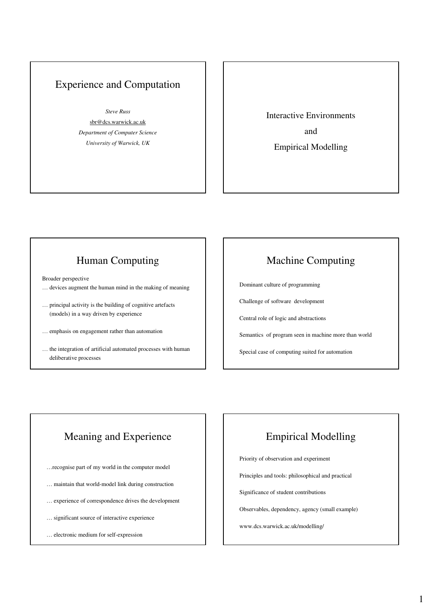#### Experience and Computation

*Steve Russ*

sbr@dcs.warwick.ac.uk *Department of Computer Science University of Warwick, UK*

Interactive Environments and Empirical Modelling

## Human Computing

Broader perspective

- … devices augment the human mind in the making of meaning
- … principal activity is the building of cognitive artefacts (models) in a way driven by experience
- … emphasis on engagement rather than automation
- … the integration of artificial automated processes with human deliberative processes

#### Machine Computing

Dominant culture of programming

Challenge of software development

Central role of logic and abstractions

Semantics of program seen in machine more than world

Special case of computing suited for automation

## Meaning and Experience

- …recognise part of my world in the computer model
- … maintain that world-model link during construction
- … experience of correspondence drives the development
- … significant source of interactive experience
- … electronic medium for self-expression

#### Empirical Modelling

Priority of observation and experiment

Principles and tools: philosophical and practical

Significance of student contributions

Observables, dependency, agency (small example)

www.dcs.warwick.ac.uk/modelling/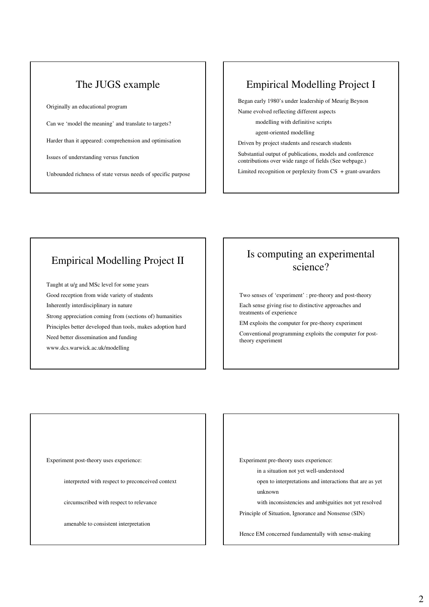### The JUGS example

Originally an educational program

Can we 'model the meaning' and translate to targets?

Harder than it appeared: comprehension and optimisation

Issues of understanding versus function

Unbounded richness of state versus needs of specific purpose

#### Empirical Modelling Project I

Began early 1980's under leadership of Meurig Beynon Name evolved reflecting different aspects

modelling with definitive scripts

agent-oriented modelling

Driven by project students and research students

Substantial output of publications, models and conference contributions over wide range of fields (See webpage.)

Limited recognition or perplexity from CS + grant-awarders

#### Empirical Modelling Project II

Taught at u/g and MSc level for some years Good reception from wide variety of students Inherently interdisciplinary in nature Strong appreciation coming from (sections of) humanities Principles better developed than tools, makes adoption hard Need better dissemination and funding www.dcs.warwick.ac.uk/modelling

## Is computing an experimental science?

Two senses of 'experiment' : pre-theory and post-theory Each sense giving rise to distinctive approaches and

treatments of experience EM exploits the computer for pre-theory experiment

Conventional programming exploits the computer for posttheory experiment

Experiment post-theory uses experience:

interpreted with respect to preconceived context

circumscribed with respect to relevance

amenable to consistent interpretation

Experiment pre-theory uses experience:

in a situation not yet well-understood

open to interpretations and interactions that are as yet unknown

with inconsistencies and ambiguities not yet resolved Principle of Situation, Ignorance and Nonsense (SIN)

Hence EM concerned fundamentally with sense-making